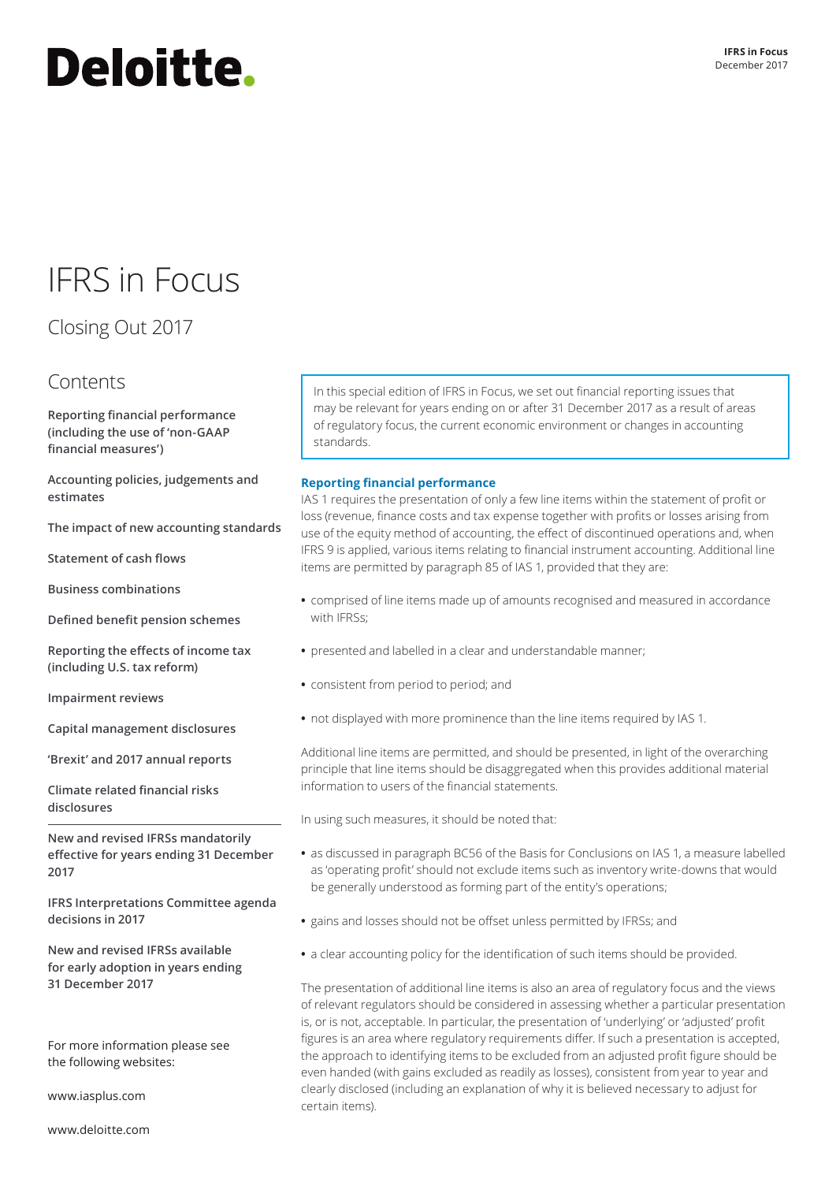# <span id="page-0-1"></span>**Deloitte.**

## IFRS in Focus

### Closing Out 2017

### **Contents**

**[Reporting financial performance](#page-0-0)  [\(including the use of 'non-GAAP](#page-0-0)  [financial measures'\)](#page-0-0)**

**[Accounting policies, judgements and](#page-2-0)  [estimates](#page-2-0)**

**[The impact of new accounting standards](#page-3-0)**

**[Statement of cash flows](#page-5-0)**

**[Business combinations](#page-5-1)**

**[Defined benefit pension schemes](#page-8-0)**

**[Reporting the effects of income tax](#page-10-0)  [\(including U.S. tax reform\)](#page-10-0)**

**[Impairment reviews](#page-12-0)**

**[Capital management disclosures](#page-12-1)**

**['Brexit' and 2017 annual reports](#page-13-0)**

**[Climate related financial risks](#page-13-1)  [disclosures](#page-13-1)**

**New and revised IFRSs mandatorily effective for years ending 31 December 2017**

**[IFRS Interpretations Committee agenda](#page-15-0)  [decisions in 2017](#page-15-0)**

**New and revised IFRSs available for early adoption in years ending 31 December 2017**

For more information please see the following websites:

www.iasplus.com

www.deloitte.com

In this special edition of IFRS in Focus, we set out financial reporting issues that may be relevant for years ending on or after 31 December 2017 as a result of areas of regulatory focus, the current economic environment or changes in accounting standards.

#### <span id="page-0-0"></span>**Reporting financial performance**

IAS 1 requires the presentation of only a few line items within the statement of profit or loss (revenue, finance costs and tax expense together with profits or losses arising from use of the equity method of accounting, the effect of discontinued operations and, when IFRS 9 is applied, various items relating to financial instrument accounting. Additional line items are permitted by paragraph 85 of IAS 1, provided that they are:

- **•** comprised of line items made up of amounts recognised and measured in accordance with IFRSs<sup>.</sup>
- **•** presented and labelled in a clear and understandable manner;
- **•** consistent from period to period; and
- **•** not displayed with more prominence than the line items required by IAS 1.

Additional line items are permitted, and should be presented, in light of the overarching principle that line items should be disaggregated when this provides additional material information to users of the financial statements.

In using such measures, it should be noted that:

- **•** as discussed in paragraph BC56 of the Basis for Conclusions on IAS 1, a measure labelled as 'operating profit' should not exclude items such as inventory write-downs that would be generally understood as forming part of the entity's operations;
- **•** gains and losses should not be offset unless permitted by IFRSs; and
- **•** a clear accounting policy for the identification of such items should be provided.

The presentation of additional line items is also an area of regulatory focus and the views of relevant regulators should be considered in assessing whether a particular presentation is, or is not, acceptable. In particular, the presentation of 'underlying' or 'adjusted' profit figures is an area where regulatory requirements differ. If such a presentation is accepted, the approach to identifying items to be excluded from an adjusted profit figure should be even handed (with gains excluded as readily as losses), consistent from year to year and clearly disclosed (including an explanation of why it is believed necessary to adjust for certain items).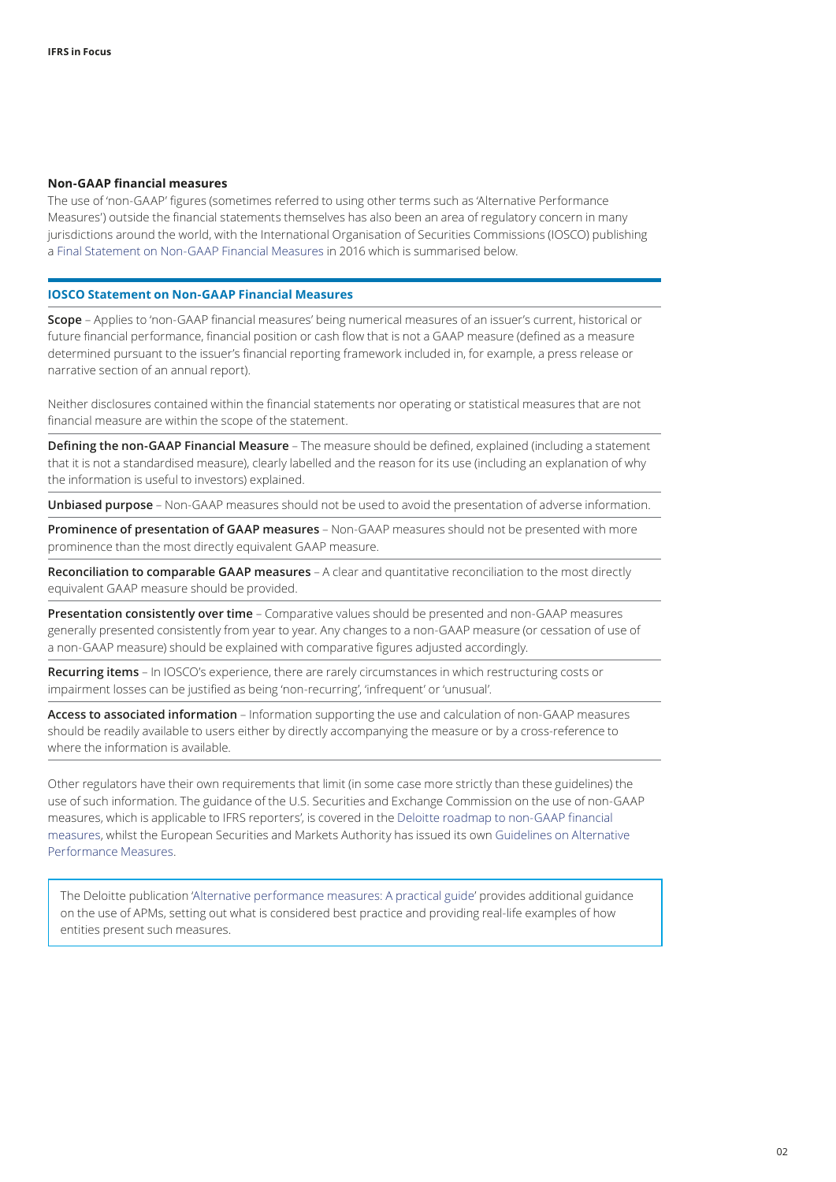#### **Non‑GAAP financial measures**

The use of 'non‑GAAP' figures (sometimes referred to using other terms such as 'Alternative Performance Measures') outside the financial statements themselves has also been an area of regulatory concern in many jurisdictions around the world, with the International Organisation of Securities Commissions (IOSCO) publishing a [Final Statement on Non‑GAAP Financial Measures](http://www.iosco.org/library/pubdocs/pdf/IOSCOPD532.pdf) in 2016 which is summarised below.

#### **IOSCO Statement on Non‑GAAP Financial Measures**

**Scope** – Applies to 'non‑GAAP financial measures' being numerical measures of an issuer's current, historical or future financial performance, financial position or cash flow that is not a GAAP measure (defined as a measure determined pursuant to the issuer's financial reporting framework included in, for example, a press release or narrative section of an annual report).

Neither disclosures contained within the financial statements nor operating or statistical measures that are not financial measure are within the scope of the statement.

**Defining the non‑GAAP Financial Measure** – The measure should be defined, explained (including a statement that it is not a standardised measure), clearly labelled and the reason for its use (including an explanation of why the information is useful to investors) explained.

**Unbiased purpose** – Non‑GAAP measures should not be used to avoid the presentation of adverse information.

**Prominence of presentation of GAAP measures** – Non‑GAAP measures should not be presented with more prominence than the most directly equivalent GAAP measure.

**Reconciliation to comparable GAAP measures** – A clear and quantitative reconciliation to the most directly equivalent GAAP measure should be provided.

**Presentation consistently over time** – Comparative values should be presented and non‑GAAP measures generally presented consistently from year to year. Any changes to a non‑GAAP measure (or cessation of use of a non-GAAP measure) should be explained with comparative figures adjusted accordingly.

**Recurring items** – In IOSCO's experience, there are rarely circumstances in which restructuring costs or impairment losses can be justified as being 'non‑recurring', 'infrequent' or 'unusual'.

**Access to associated information** – Information supporting the use and calculation of non‑GAAP measures should be readily available to users either by directly accompanying the measure or by a cross-reference to where the information is available.

Other regulators have their own requirements that limit (in some case more strictly than these guidelines) the use of such information. The guidance of the U.S. Securities and Exchange Commission on the use of non‑GAAP measures, which is applicable to IFRS reporters', is covered in the [Deloitte roadmap to non‑GAAP financial](https://www.iasplus.com/en-us/publications/us/roadmap-series/non-gaap)  [measures,](https://www.iasplus.com/en-us/publications/us/roadmap-series/non-gaap) whilst the European Securities and Markets Authority has issued its own [Guidelines on Alternative](https://www.esma.europa.eu/press-news/esma-news/esma-publishes-final-guidelines-alternative-performance-measures)  [Performance Measures](https://www.esma.europa.eu/press-news/esma-news/esma-publishes-final-guidelines-alternative-performance-measures).

The Deloitte publication ['Alternative performance measures: A practical guide](https://www.iasplus.com/en/publications/global/other/apm)' provides additional guidance on the use of APMs, setting out what is considered best practice and providing real-life examples of how entities present such measures.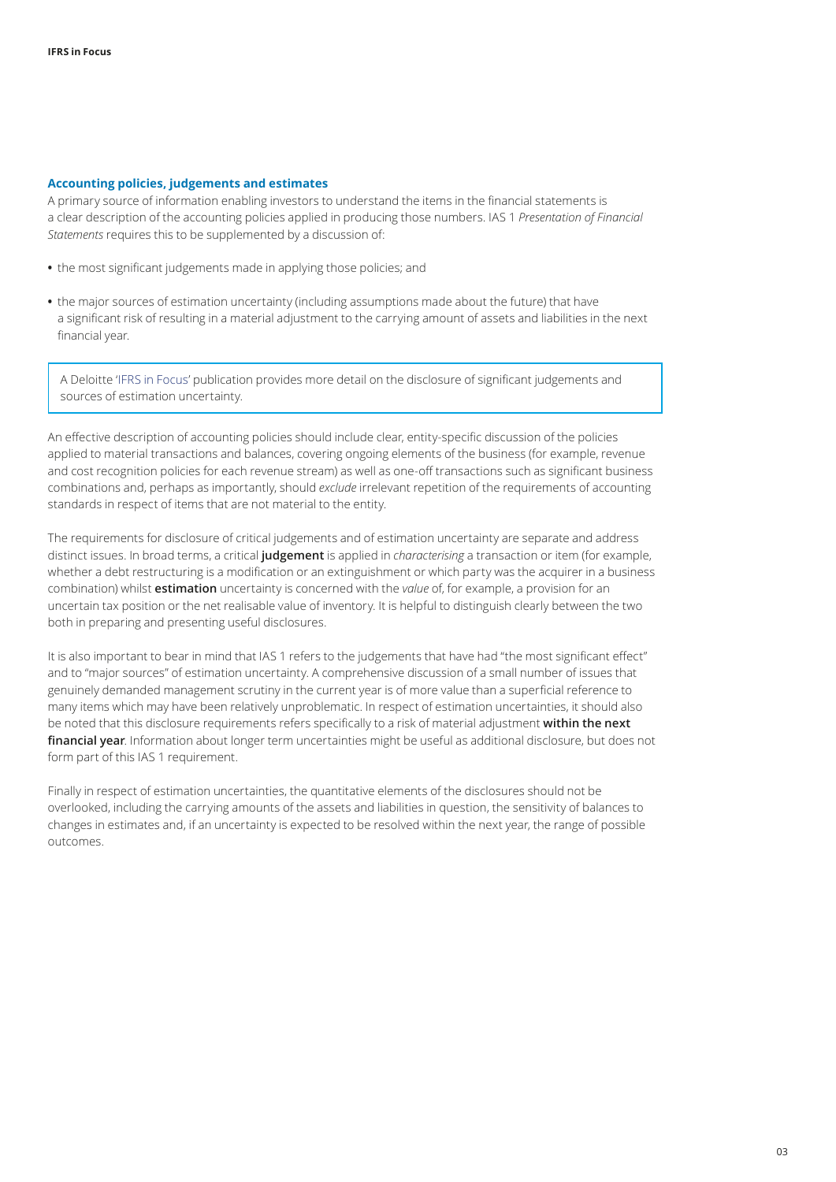#### <span id="page-2-0"></span>**Accounting policies, judgements and estimates**

A primary source of information enabling investors to understand the items in the financial statements is a clear description of the accounting policies applied in producing those numbers. IAS 1 *Presentation of Financial Statements* requires this to be supplemented by a discussion of:

- **•** the most significant judgements made in applying those policies; and
- **•** the major sources of estimation uncertainty (including assumptions made about the future) that have a significant risk of resulting in a material adjustment to the carrying amount of assets and liabilities in the next financial year.

A Deloitte '[IFRS in Focus](https://www.iasplus.com/en/publications/global/ifrs-in-focus/2017/ias-1-disclosures)' publication provides more detail on the disclosure of significant judgements and sources of estimation uncertainty.

An effective description of accounting policies should include clear, entity‑specific discussion of the policies applied to material transactions and balances, covering ongoing elements of the business (for example, revenue and cost recognition policies for each revenue stream) as well as one-off transactions such as significant business combinations and, perhaps as importantly, should *exclude* irrelevant repetition of the requirements of accounting standards in respect of items that are not material to the entity.

The requirements for disclosure of critical judgements and of estimation uncertainty are separate and address distinct issues. In broad terms, a critical **judgement** is applied in *characterising* a transaction or item (for example, whether a debt restructuring is a modification or an extinguishment or which party was the acquirer in a business combination) whilst **estimation** uncertainty is concerned with the *value* of, for example, a provision for an uncertain tax position or the net realisable value of inventory. It is helpful to distinguish clearly between the two both in preparing and presenting useful disclosures.

It is also important to bear in mind that IAS 1 refers to the judgements that have had "the most significant effect" and to "major sources" of estimation uncertainty. A comprehensive discussion of a small number of issues that genuinely demanded management scrutiny in the current year is of more value than a superficial reference to many items which may have been relatively unproblematic. In respect of estimation uncertainties, it should also be noted that this disclosure requirements refers specifically to a risk of material adjustment **within the next financial year**. Information about longer term uncertainties might be useful as additional disclosure, but does not form part of this IAS 1 requirement.

Finally in respect of estimation uncertainties, the quantitative elements of the disclosures should not be overlooked, including the carrying amounts of the assets and liabilities in question, the sensitivity of balances to changes in estimates and, if an uncertainty is expected to be resolved within the next year, the range of possible outcomes.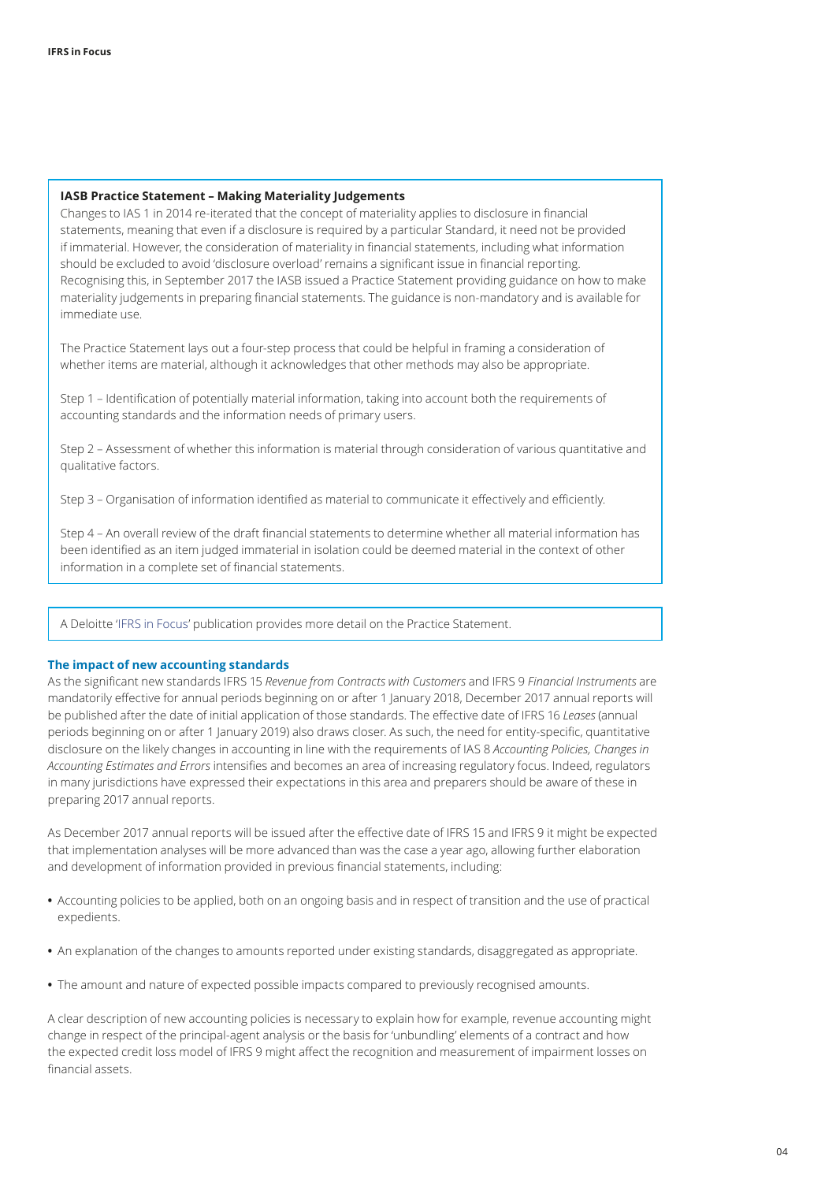#### **IASB Practice Statement – Making Materiality Judgements**

Changes to IAS 1 in 2014 re‑iterated that the concept of materiality applies to disclosure in financial statements, meaning that even if a disclosure is required by a particular Standard, it need not be provided if immaterial. However, the consideration of materiality in financial statements, including what information should be excluded to avoid 'disclosure overload' remains a significant issue in financial reporting. Recognising this, in September 2017 the IASB issued a Practice Statement providing guidance on how to make materiality judgements in preparing financial statements. The guidance is non‑mandatory and is available for immediate use.

The Practice Statement lays out a four-step process that could be helpful in framing a consideration of whether items are material, although it acknowledges that other methods may also be appropriate.

Step 1 – Identification of potentially material information, taking into account both the requirements of accounting standards and the information needs of primary users.

Step 2 – Assessment of whether this information is material through consideration of various quantitative and qualitative factors.

Step 3 – Organisation of information identified as material to communicate it effectively and efficiently.

Step 4 – An overall review of the draft financial statements to determine whether all material information has been identified as an item judged immaterial in isolation could be deemed material in the context of other information in a complete set of financial statements.

A Deloitte '[IFRS in Focus](https://www.iasplus.com/en/publications/global/ifrs-in-focus/2017/materiality-ps)' publication provides more detail on the Practice Statement.

#### <span id="page-3-0"></span>**The impact of new accounting standards**

As the significant new standards IFRS 15 *Revenue from Contracts with Customers* and IFRS 9 *Financial Instruments* are mandatorily effective for annual periods beginning on or after 1 January 2018, December 2017 annual reports will be published after the date of initial application of those standards. The effective date of IFRS 16 *Leases* (annual periods beginning on or after 1 January 2019) also draws closer. As such, the need for entity-specific, quantitative disclosure on the likely changes in accounting in line with the requirements of IAS 8 *Accounting Policies, Changes in Accounting Estimates and Errors* intensifies and becomes an area of increasing regulatory focus. Indeed, regulators in many jurisdictions have expressed their expectations in this area and preparers should be aware of these in preparing 2017 annual reports.

As December 2017 annual reports will be issued after the effective date of IFRS 15 and IFRS 9 it might be expected that implementation analyses will be more advanced than was the case a year ago, allowing further elaboration and development of information provided in previous financial statements, including:

- **•** Accounting policies to be applied, both on an ongoing basis and in respect of transition and the use of practical expedients.
- **•** An explanation of the changes to amounts reported under existing standards, disaggregated as appropriate.
- **•** The amount and nature of expected possible impacts compared to previously recognised amounts.

A clear description of new accounting policies is necessary to explain how for example, revenue accounting might change in respect of the principal‑agent analysis or the basis for 'unbundling' elements of a contract and how the expected credit loss model of IFRS 9 might affect the recognition and measurement of impairment losses on financial assets.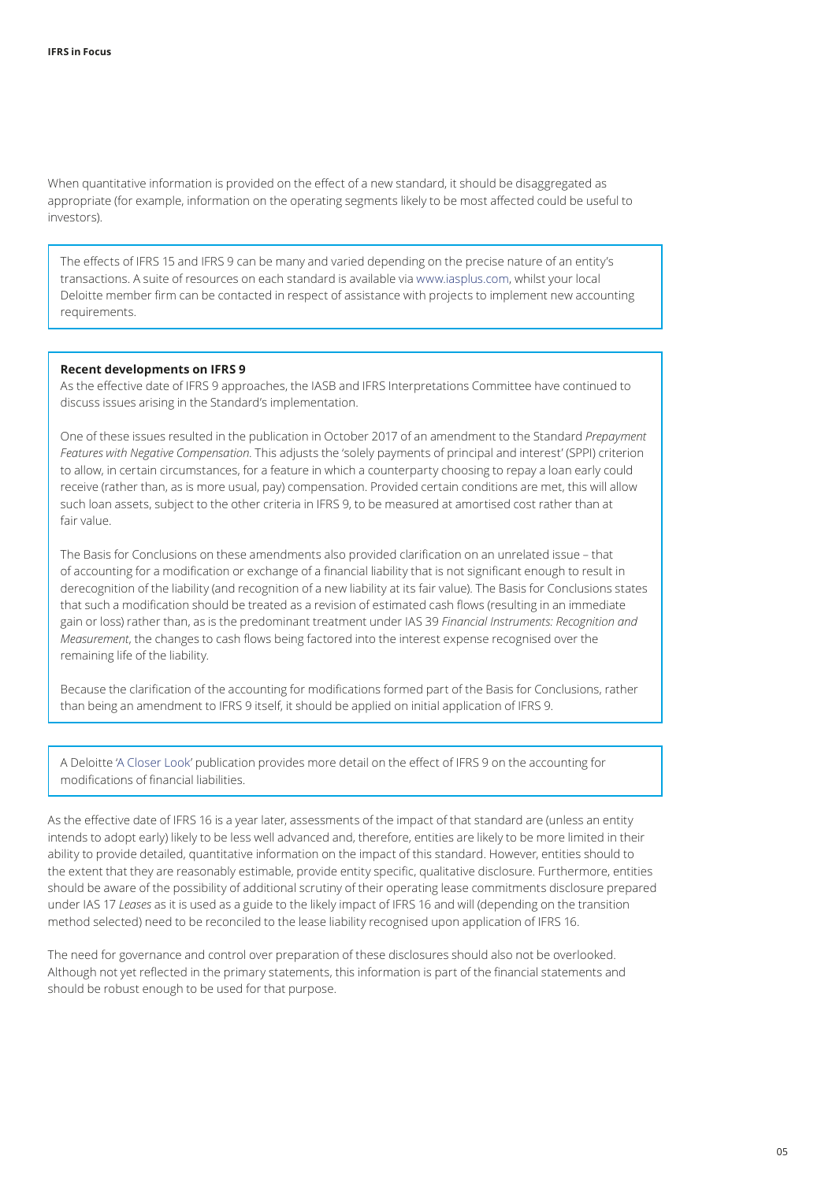When quantitative information is provided on the effect of a new standard, it should be disaggregated as appropriate (for example, information on the operating segments likely to be most affected could be useful to investors).

The effects of IFRS 15 and IFRS 9 can be many and varied depending on the precise nature of an entity's transactions. A suite of resources on each standard is available via [www.iasplus.com,](https://www.iasplus.com/en) whilst your local Deloitte member firm can be contacted in respect of assistance with projects to implement new accounting requirements.

#### **Recent developments on IFRS 9**

As the effective date of IFRS 9 approaches, the IASB and IFRS Interpretations Committee have continued to discuss issues arising in the Standard's implementation.

One of these issues resulted in the publication in October 2017 of an amendment to the Standard *Prepayment Features with Negative Compensation*. This adjusts the 'solely payments of principal and interest' (SPPI) criterion to allow, in certain circumstances, for a feature in which a counterparty choosing to repay a loan early could receive (rather than, as is more usual, pay) compensation. Provided certain conditions are met, this will allow such loan assets, subject to the other criteria in IFRS 9, to be measured at amortised cost rather than at fair value.

The Basis for Conclusions on these amendments also provided clarification on an unrelated issue – that of accounting for a modification or exchange of a financial liability that is not significant enough to result in derecognition of the liability (and recognition of a new liability at its fair value). The Basis for Conclusions states that such a modification should be treated as a revision of estimated cash flows (resulting in an immediate gain or loss) rather than, as is the predominant treatment under IAS 39 *Financial Instruments: Recognition and Measurement*, the changes to cash flows being factored into the interest expense recognised over the remaining life of the liability.

Because the clarification of the accounting for modifications formed part of the Basis for Conclusions, rather than being an amendment to IFRS 9 itself, it should be applied on initial application of IFRS 9.

A Deloitte ['A Closer Look'](https://www.iasplus.com/en/publications/global/a-closer-look/ifrs-9-modification) publication provides more detail on the effect of IFRS 9 on the accounting for modifications of financial liabilities.

As the effective date of IFRS 16 is a year later, assessments of the impact of that standard are (unless an entity intends to adopt early) likely to be less well advanced and, therefore, entities are likely to be more limited in their ability to provide detailed, quantitative information on the impact of this standard. However, entities should to the extent that they are reasonably estimable, provide entity specific, qualitative disclosure. Furthermore, entities should be aware of the possibility of additional scrutiny of their operating lease commitments disclosure prepared under IAS 17 *Leases* as it is used as a guide to the likely impact of IFRS 16 and will (depending on the transition method selected) need to be reconciled to the lease liability recognised upon application of IFRS 16.

The need for governance and control over preparation of these disclosures should also not be overlooked. Although not yet reflected in the primary statements, this information is part of the financial statements and should be robust enough to be used for that purpose.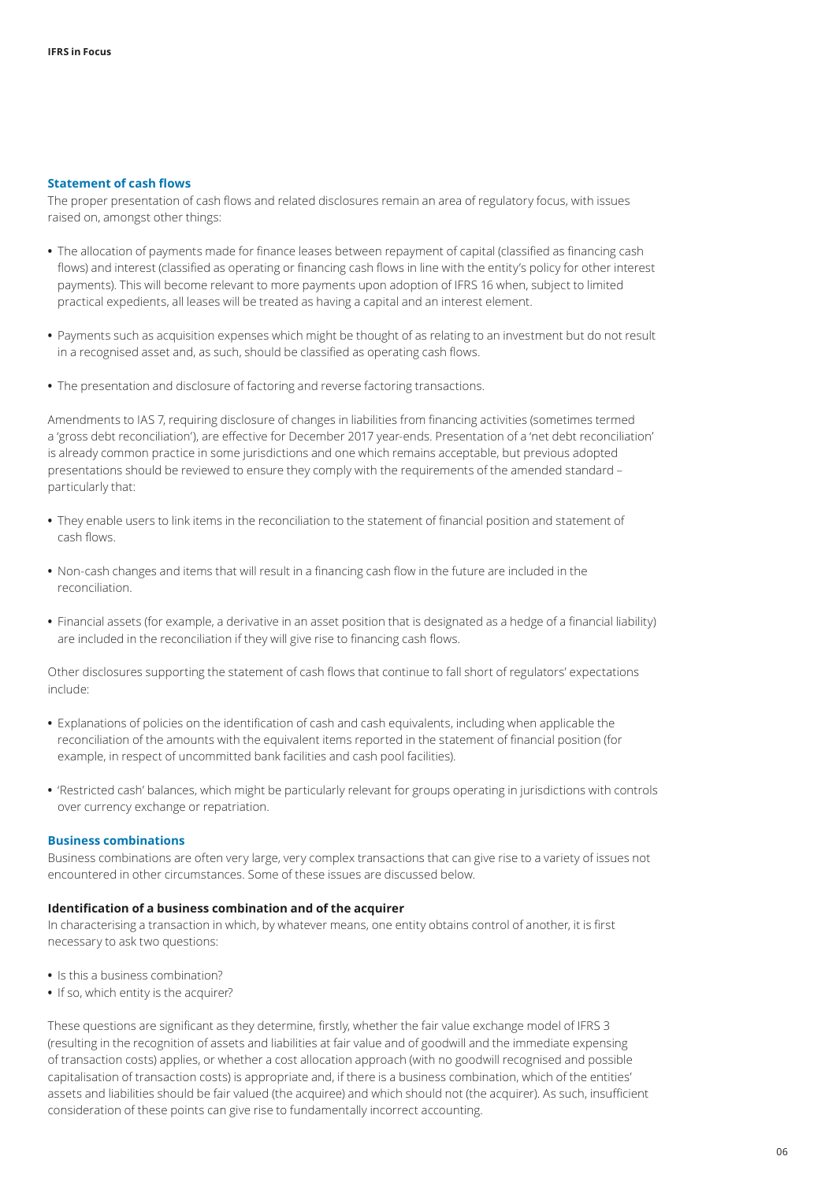#### <span id="page-5-0"></span>**Statement of cash flows**

The proper presentation of cash flows and related disclosures remain an area of regulatory focus, with issues raised on, amongst other things:

- **•** The allocation of payments made for finance leases between repayment of capital (classified as financing cash flows) and interest (classified as operating or financing cash flows in line with the entity's policy for other interest payments). This will become relevant to more payments upon adoption of IFRS 16 when, subject to limited practical expedients, all leases will be treated as having a capital and an interest element.
- **•** Payments such as acquisition expenses which might be thought of as relating to an investment but do not result in a recognised asset and, as such, should be classified as operating cash flows.
- **•** The presentation and disclosure of factoring and reverse factoring transactions.

Amendments to IAS 7, requiring disclosure of changes in liabilities from financing activities (sometimes termed a 'gross debt reconciliation'), are effective for December 2017 year-ends. Presentation of a 'net debt reconciliation' is already common practice in some jurisdictions and one which remains acceptable, but previous adopted presentations should be reviewed to ensure they comply with the requirements of the amended standard – particularly that:

- **•** They enable users to link items in the reconciliation to the statement of financial position and statement of cash flows.
- **•** Non‑cash changes and items that will result in a financing cash flow in the future are included in the reconciliation.
- **•** Financial assets (for example, a derivative in an asset position that is designated as a hedge of a financial liability) are included in the reconciliation if they will give rise to financing cash flows.

Other disclosures supporting the statement of cash flows that continue to fall short of regulators' expectations include:

- **•** Explanations of policies on the identification of cash and cash equivalents, including when applicable the reconciliation of the amounts with the equivalent items reported in the statement of financial position (for example, in respect of uncommitted bank facilities and cash pool facilities).
- **•** 'Restricted cash' balances, which might be particularly relevant for groups operating in jurisdictions with controls over currency exchange or repatriation.

#### <span id="page-5-1"></span>**Business combinations**

Business combinations are often very large, very complex transactions that can give rise to a variety of issues not encountered in other circumstances. Some of these issues are discussed below.

#### **Identification of a business combination and of the acquirer**

In characterising a transaction in which, by whatever means, one entity obtains control of another, it is first necessary to ask two questions:

- **•** Is this a business combination?
- **•** If so, which entity is the acquirer?

These questions are significant as they determine, firstly, whether the fair value exchange model of IFRS 3 (resulting in the recognition of assets and liabilities at fair value and of goodwill and the immediate expensing of transaction costs) applies, or whether a cost allocation approach (with no goodwill recognised and possible capitalisation of transaction costs) is appropriate and, if there is a business combination, which of the entities' assets and liabilities should be fair valued (the acquiree) and which should not (the acquirer). As such, insufficient consideration of these points can give rise to fundamentally incorrect accounting.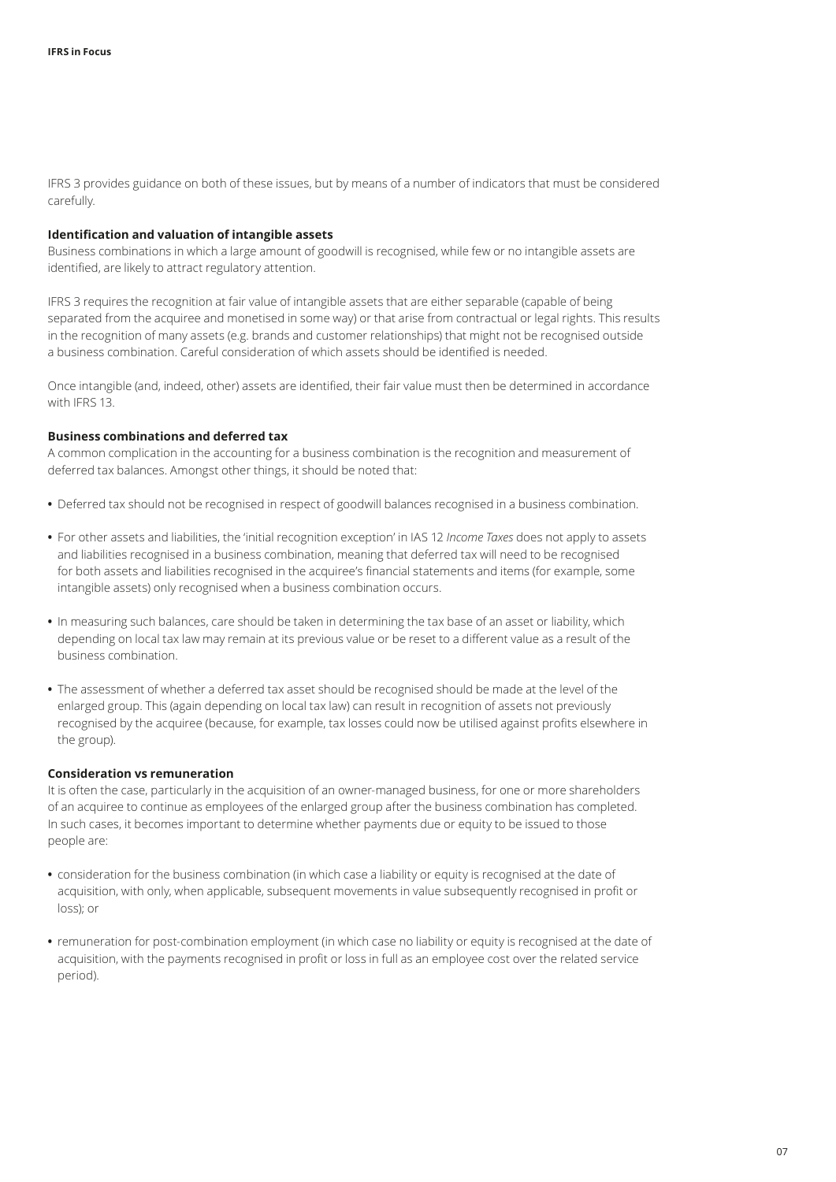IFRS 3 provides guidance on both of these issues, but by means of a number of indicators that must be considered carefully.

#### **Identification and valuation of intangible assets**

Business combinations in which a large amount of goodwill is recognised, while few or no intangible assets are identified, are likely to attract regulatory attention.

IFRS 3 requires the recognition at fair value of intangible assets that are either separable (capable of being separated from the acquiree and monetised in some way) or that arise from contractual or legal rights. This results in the recognition of many assets (e.g. brands and customer relationships) that might not be recognised outside a business combination. Careful consideration of which assets should be identified is needed.

Once intangible (and, indeed, other) assets are identified, their fair value must then be determined in accordance with IFRS 13.

#### **Business combinations and deferred tax**

A common complication in the accounting for a business combination is the recognition and measurement of deferred tax balances. Amongst other things, it should be noted that:

- **•** Deferred tax should not be recognised in respect of goodwill balances recognised in a business combination.
- **•** For other assets and liabilities, the 'initial recognition exception' in IAS 12 *Income Taxes* does not apply to assets and liabilities recognised in a business combination, meaning that deferred tax will need to be recognised for both assets and liabilities recognised in the acquiree's financial statements and items (for example, some intangible assets) only recognised when a business combination occurs.
- **•** In measuring such balances, care should be taken in determining the tax base of an asset or liability, which depending on local tax law may remain at its previous value or be reset to a different value as a result of the business combination.
- **•** The assessment of whether a deferred tax asset should be recognised should be made at the level of the enlarged group. This (again depending on local tax law) can result in recognition of assets not previously recognised by the acquiree (because, for example, tax losses could now be utilised against profits elsewhere in the group).

#### **Consideration vs remuneration**

It is often the case, particularly in the acquisition of an owner-managed business, for one or more shareholders of an acquiree to continue as employees of the enlarged group after the business combination has completed. In such cases, it becomes important to determine whether payments due or equity to be issued to those people are:

- **•** consideration for the business combination (in which case a liability or equity is recognised at the date of acquisition, with only, when applicable, subsequent movements in value subsequently recognised in profit or loss); or
- **•** remuneration for post‑combination employment (in which case no liability or equity is recognised at the date of acquisition, with the payments recognised in profit or loss in full as an employee cost over the related service period).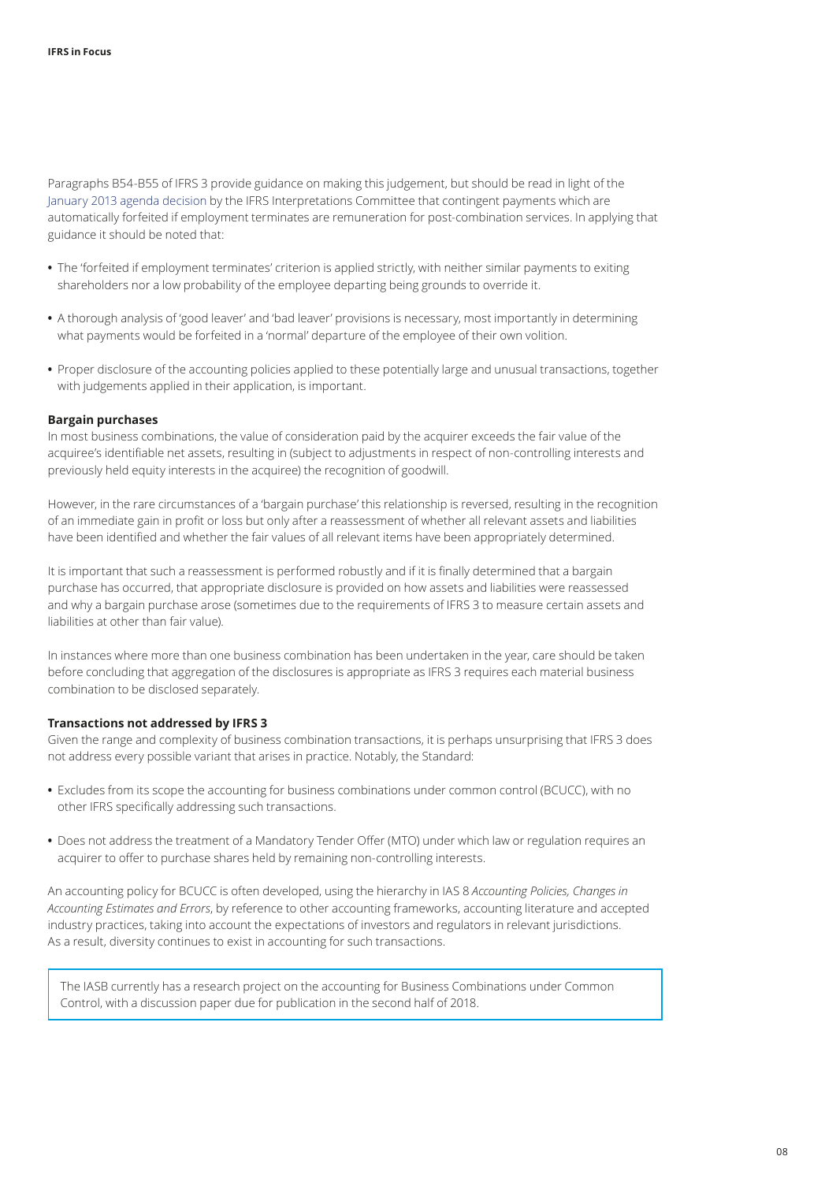Paragraphs B54‑B55 of IFRS 3 provide guidance on making this judgement, but should be read in light of the [January 2013 agenda decision](http://www.ifrs.org/-/media/feature/news/updates/ifrs-ic/2013/ifric-update-jan-2013.pdf) by the IFRS Interpretations Committee that contingent payments which are automatically forfeited if employment terminates are remuneration for post-combination services. In applying that guidance it should be noted that:

- **•** The 'forfeited if employment terminates' criterion is applied strictly, with neither similar payments to exiting shareholders nor a low probability of the employee departing being grounds to override it.
- **•** A thorough analysis of 'good leaver' and 'bad leaver' provisions is necessary, most importantly in determining what payments would be forfeited in a 'normal' departure of the employee of their own volition.
- **•** Proper disclosure of the accounting policies applied to these potentially large and unusual transactions, together with judgements applied in their application, is important.

#### **Bargain purchases**

In most business combinations, the value of consideration paid by the acquirer exceeds the fair value of the acquiree's identifiable net assets, resulting in (subject to adjustments in respect of non‑controlling interests and previously held equity interests in the acquiree) the recognition of goodwill.

However, in the rare circumstances of a 'bargain purchase' this relationship is reversed, resulting in the recognition of an immediate gain in profit or loss but only after a reassessment of whether all relevant assets and liabilities have been identified and whether the fair values of all relevant items have been appropriately determined.

It is important that such a reassessment is performed robustly and if it is finally determined that a bargain purchase has occurred, that appropriate disclosure is provided on how assets and liabilities were reassessed and why a bargain purchase arose (sometimes due to the requirements of IFRS 3 to measure certain assets and liabilities at other than fair value).

In instances where more than one business combination has been undertaken in the year, care should be taken before concluding that aggregation of the disclosures is appropriate as IFRS 3 requires each material business combination to be disclosed separately.

#### **Transactions not addressed by IFRS 3**

Given the range and complexity of business combination transactions, it is perhaps unsurprising that IFRS 3 does not address every possible variant that arises in practice. Notably, the Standard:

- **•** Excludes from its scope the accounting for business combinations under common control (BCUCC), with no other IFRS specifically addressing such transactions.
- **•** Does not address the treatment of a Mandatory Tender Offer (MTO) under which law or regulation requires an acquirer to offer to purchase shares held by remaining non-controlling interests.

An accounting policy for BCUCC is often developed, using the hierarchy in IAS 8 *Accounting Policies, Changes in Accounting Estimates and Errors*, by reference to other accounting frameworks, accounting literature and accepted industry practices, taking into account the expectations of investors and regulators in relevant jurisdictions. As a result, diversity continues to exist in accounting for such transactions.

The IASB currently has a research project on the accounting for Business Combinations under Common Control, with a discussion paper due for publication in the second half of 2018.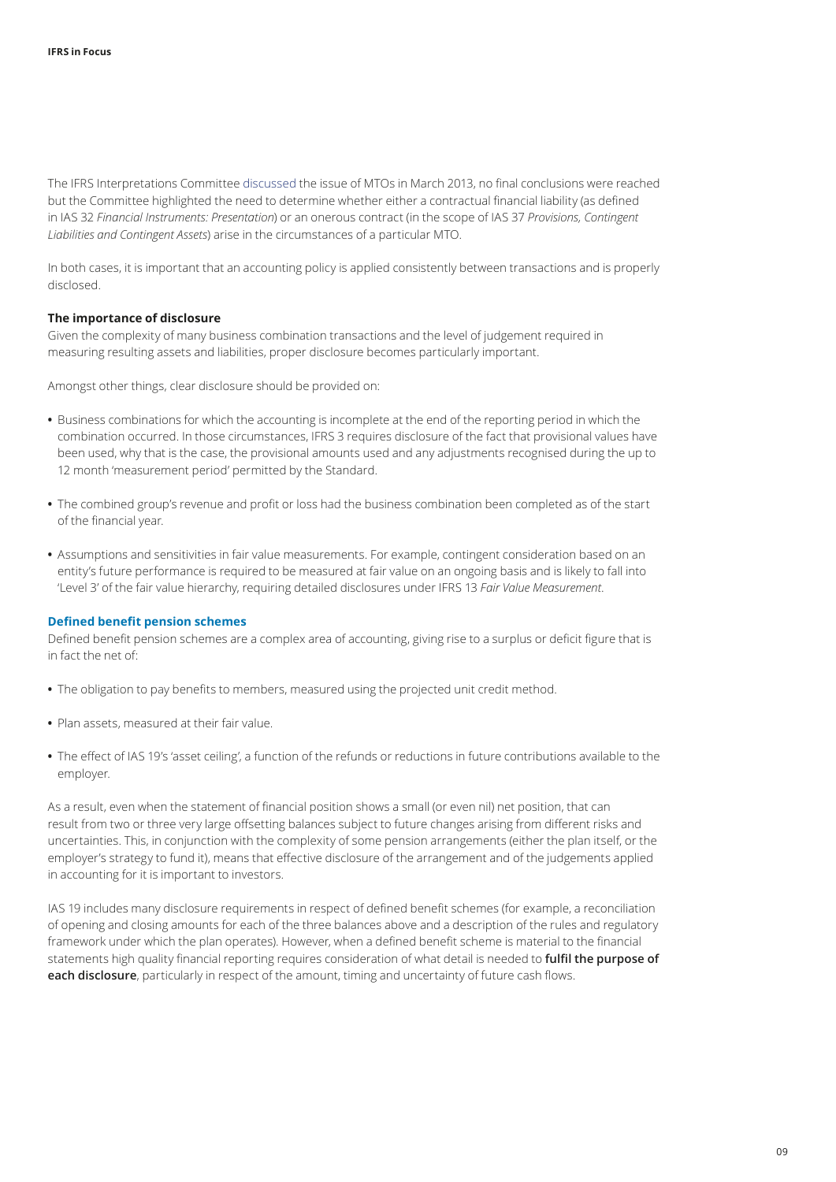The IFRS Interpretations Committee [discussed](http://www.ifrs.org/-/media/feature/news/updates/ifrs-ic/2013/ifric-update-march-2013.pdf) the issue of MTOs in March 2013, no final conclusions were reached but the Committee highlighted the need to determine whether either a contractual financial liability (as defined in IAS 32 *Financial Instruments: Presentation*) or an onerous contract (in the scope of IAS 37 *Provisions, Contingent Liabilities and Contingent Assets*) arise in the circumstances of a particular MTO.

In both cases, it is important that an accounting policy is applied consistently between transactions and is properly disclosed.

#### **The importance of disclosure**

Given the complexity of many business combination transactions and the level of judgement required in measuring resulting assets and liabilities, proper disclosure becomes particularly important.

Amongst other things, clear disclosure should be provided on:

- **•** Business combinations for which the accounting is incomplete at the end of the reporting period in which the combination occurred. In those circumstances, IFRS 3 requires disclosure of the fact that provisional values have been used, why that is the case, the provisional amounts used and any adjustments recognised during the up to 12 month 'measurement period' permitted by the Standard.
- **•** The combined group's revenue and profit or loss had the business combination been completed as of the start of the financial year.
- **•** Assumptions and sensitivities in fair value measurements. For example, contingent consideration based on an entity's future performance is required to be measured at fair value on an ongoing basis and is likely to fall into 'Level 3' of the fair value hierarchy, requiring detailed disclosures under IFRS 13 *Fair Value Measurement*.

#### <span id="page-8-0"></span>**Defined benefit pension schemes**

Defined benefit pension schemes are a complex area of accounting, giving rise to a surplus or deficit figure that is in fact the net of:

- **•** The obligation to pay benefits to members, measured using the projected unit credit method.
- **•** Plan assets, measured at their fair value.
- **•** The effect of IAS 19's 'asset ceiling', a function of the refunds or reductions in future contributions available to the employer.

As a result, even when the statement of financial position shows a small (or even nil) net position, that can result from two or three very large offsetting balances subject to future changes arising from different risks and uncertainties. This, in conjunction with the complexity of some pension arrangements (either the plan itself, or the employer's strategy to fund it), means that effective disclosure of the arrangement and of the judgements applied in accounting for it is important to investors.

IAS 19 includes many disclosure requirements in respect of defined benefit schemes (for example, a reconciliation of opening and closing amounts for each of the three balances above and a description of the rules and regulatory framework under which the plan operates). However, when a defined benefit scheme is material to the financial statements high quality financial reporting requires consideration of what detail is needed to **fulfil the purpose of each disclosure**, particularly in respect of the amount, timing and uncertainty of future cash flows.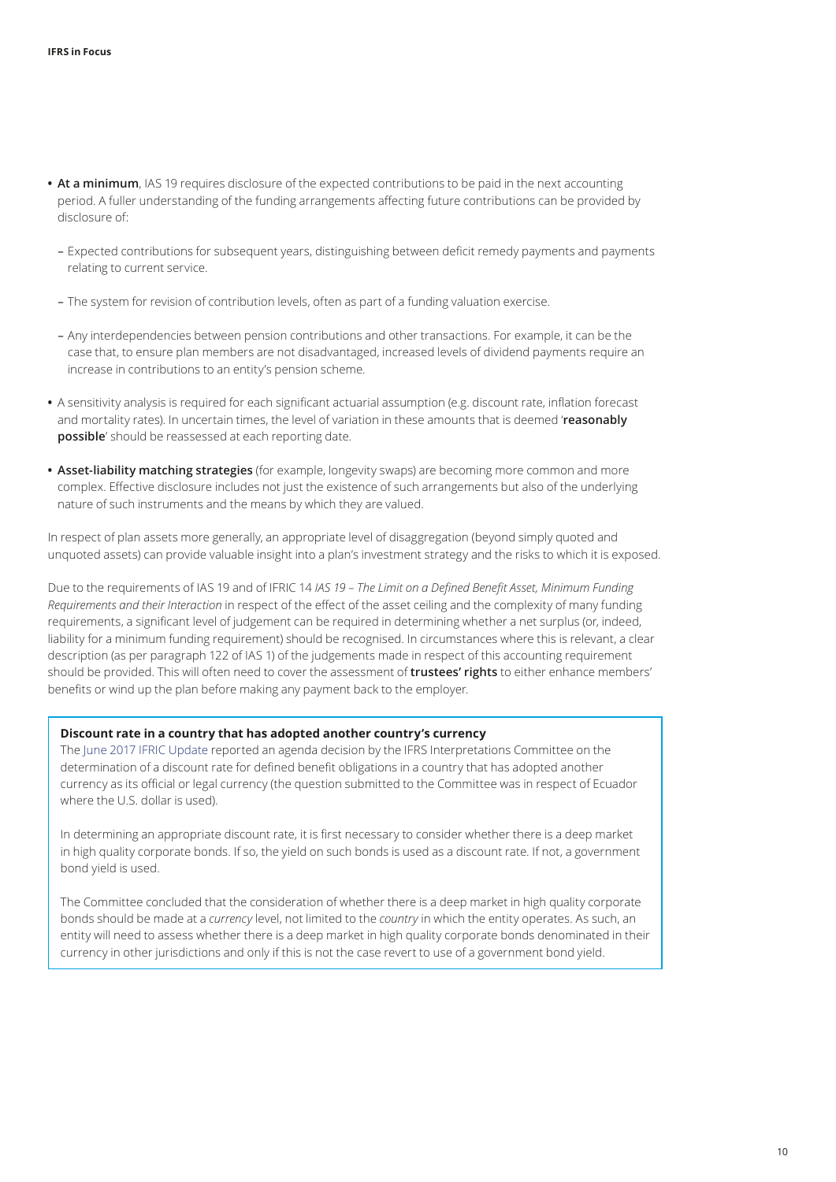- **• At a minimum**, IAS 19 requires disclosure of the expected contributions to be paid in the next accounting period. A fuller understanding of the funding arrangements affecting future contributions can be provided by disclosure of:
	- Expected contributions for subsequent years, distinguishing between deficit remedy payments and payments relating to current service.
	- The system for revision of contribution levels, often as part of a funding valuation exercise.
	- Any interdependencies between pension contributions and other transactions. For example, it can be the case that, to ensure plan members are not disadvantaged, increased levels of dividend payments require an increase in contributions to an entity's pension scheme.
- **•** A sensitivity analysis is required for each significant actuarial assumption (e.g. discount rate, inflation forecast and mortality rates). In uncertain times, the level of variation in these amounts that is deemed '**reasonably possible**' should be reassessed at each reporting date.
- **• Asset‑liability matching strategies** (for example, longevity swaps) are becoming more common and more complex. Effective disclosure includes not just the existence of such arrangements but also of the underlying nature of such instruments and the means by which they are valued.

In respect of plan assets more generally, an appropriate level of disaggregation (beyond simply quoted and unquoted assets) can provide valuable insight into a plan's investment strategy and the risks to which it is exposed.

Due to the requirements of IAS 19 and of IFRIC 14 *IAS 19 – The Limit on a Defined Benefit Asset, Minimum Funding Requirements and their Interaction* in respect of the effect of the asset ceiling and the complexity of many funding requirements, a significant level of judgement can be required in determining whether a net surplus (or, indeed, liability for a minimum funding requirement) should be recognised. In circumstances where this is relevant, a clear description (as per paragraph 122 of IAS 1) of the judgements made in respect of this accounting requirement should be provided. This will often need to cover the assessment of **trustees' rights** to either enhance members' benefits or wind up the plan before making any payment back to the employer.

#### **Discount rate in a country that has adopted another country's currency**

The [June 2017 IFRIC Update](http://www.ifrs.org/news-and-events/updates/ifric-updates/june/) reported an agenda decision by the IFRS Interpretations Committee on the determination of a discount rate for defined benefit obligations in a country that has adopted another currency as its official or legal currency (the question submitted to the Committee was in respect of Ecuador where the U.S. dollar is used).

In determining an appropriate discount rate, it is first necessary to consider whether there is a deep market in high quality corporate bonds. If so, the yield on such bonds is used as a discount rate. If not, a government bond yield is used.

The Committee concluded that the consideration of whether there is a deep market in high quality corporate bonds should be made at a *currency* level, not limited to the *country* in which the entity operates. As such, an entity will need to assess whether there is a deep market in high quality corporate bonds denominated in their currency in other jurisdictions and only if this is not the case revert to use of a government bond yield.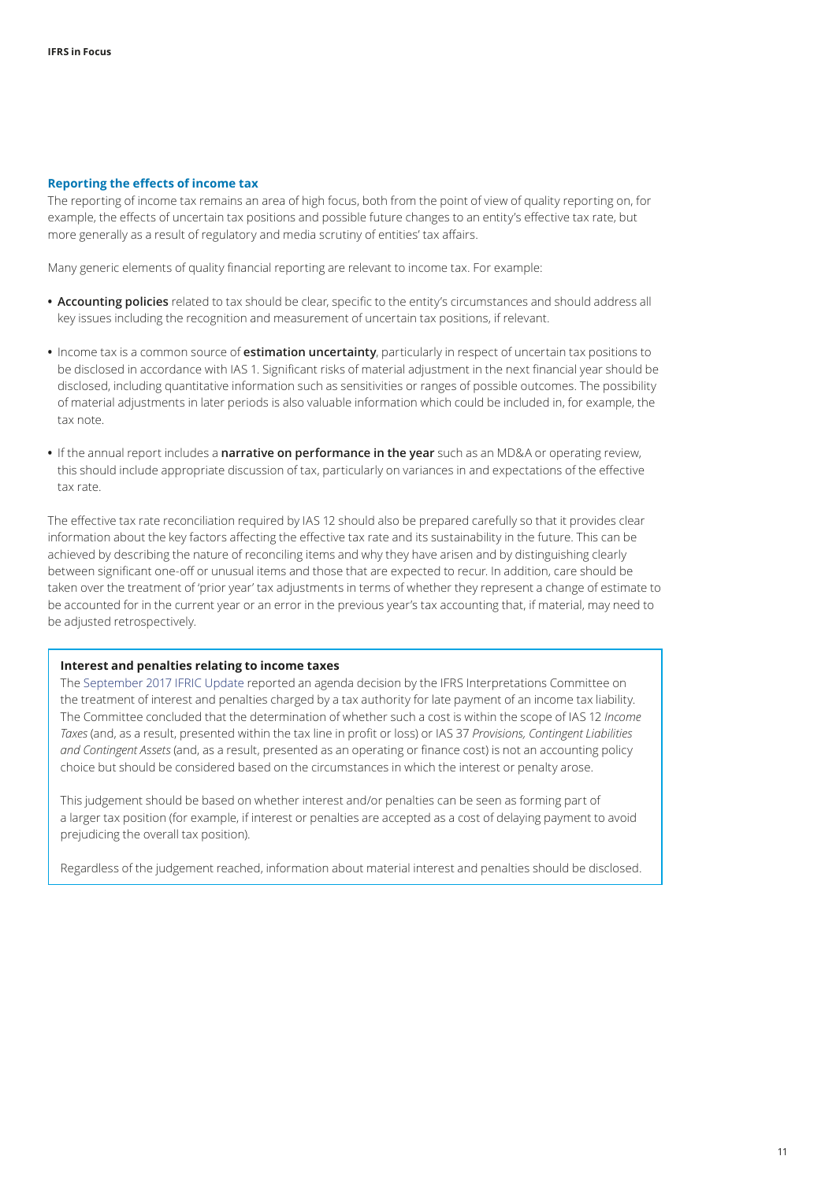#### <span id="page-10-0"></span>**Reporting the effects of income tax**

The reporting of income tax remains an area of high focus, both from the point of view of quality reporting on, for example, the effects of uncertain tax positions and possible future changes to an entity's effective tax rate, but more generally as a result of regulatory and media scrutiny of entities' tax affairs.

Many generic elements of quality financial reporting are relevant to income tax. For example:

- **• Accounting policies** related to tax should be clear, specific to the entity's circumstances and should address all key issues including the recognition and measurement of uncertain tax positions, if relevant.
- **•** Income tax is a common source of **estimation uncertainty**, particularly in respect of uncertain tax positions to be disclosed in accordance with IAS 1. Significant risks of material adjustment in the next financial year should be disclosed, including quantitative information such as sensitivities or ranges of possible outcomes. The possibility of material adjustments in later periods is also valuable information which could be included in, for example, the tax note.
- **•** If the annual report includes a **narrative on performance in the year** such as an MD&A or operating review, this should include appropriate discussion of tax, particularly on variances in and expectations of the effective tax rate.

The effective tax rate reconciliation required by IAS 12 should also be prepared carefully so that it provides clear information about the key factors affecting the effective tax rate and its sustainability in the future. This can be achieved by describing the nature of reconciling items and why they have arisen and by distinguishing clearly between significant one‑off or unusual items and those that are expected to recur. In addition, care should be taken over the treatment of 'prior year' tax adjustments in terms of whether they represent a change of estimate to be accounted for in the current year or an error in the previous year's tax accounting that, if material, may need to be adjusted retrospectively.

#### **Interest and penalties relating to income taxes**

The [September 2017 IFRIC Update](http://www.ifrs.org/news-and-events/updates/ifric-updates/september-2017/) reported an agenda decision by the IFRS Interpretations Committee on the treatment of interest and penalties charged by a tax authority for late payment of an income tax liability. The Committee concluded that the determination of whether such a cost is within the scope of IAS 12 *Income Taxes* (and, as a result, presented within the tax line in profit or loss) or IAS 37 *Provisions, Contingent Liabilities and Contingent Assets* (and, as a result, presented as an operating or finance cost) is not an accounting policy choice but should be considered based on the circumstances in which the interest or penalty arose.

This judgement should be based on whether interest and/or penalties can be seen as forming part of a larger tax position (for example, if interest or penalties are accepted as a cost of delaying payment to avoid prejudicing the overall tax position).

Regardless of the judgement reached, information about material interest and penalties should be disclosed.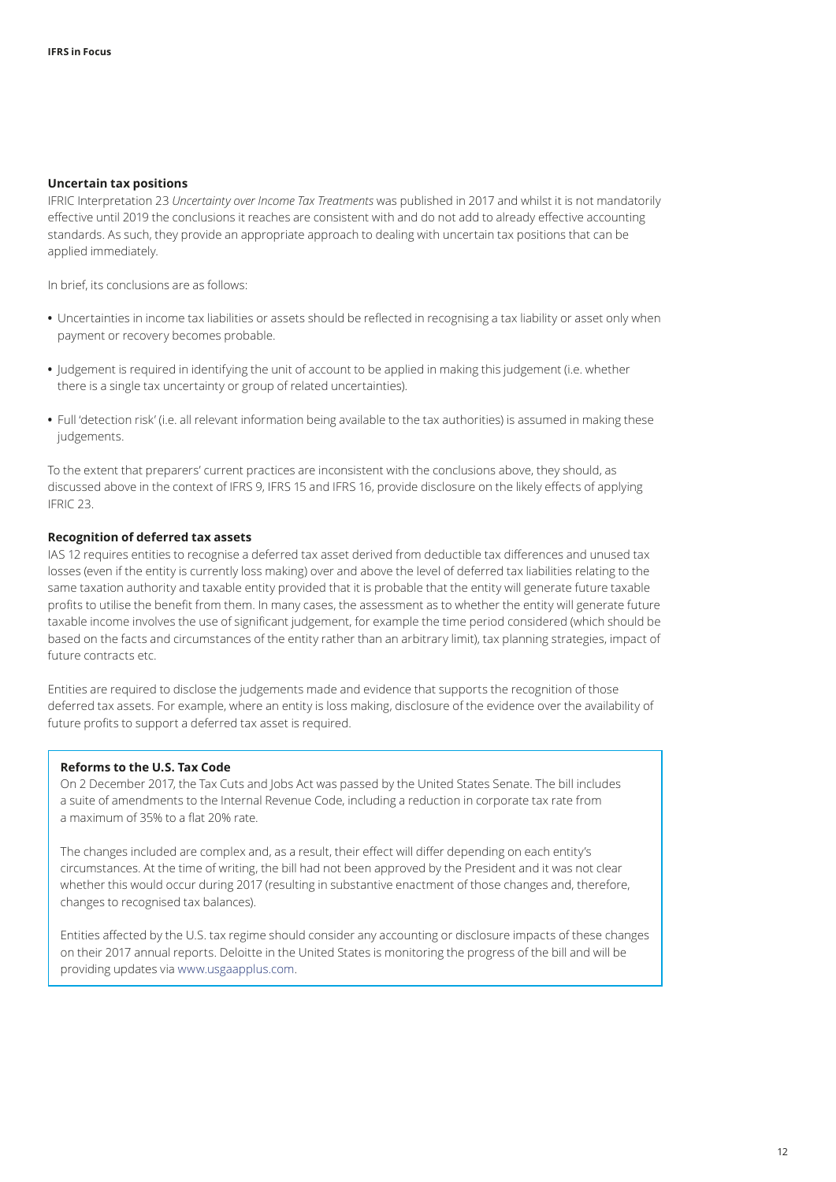#### **Uncertain tax positions**

IFRIC Interpretation 23 *Uncertainty over Income Tax Treatments* was published in 2017 and whilst it is not mandatorily effective until 2019 the conclusions it reaches are consistent with and do not add to already effective accounting standards. As such, they provide an appropriate approach to dealing with uncertain tax positions that can be applied immediately.

In brief, its conclusions are as follows:

- **•** Uncertainties in income tax liabilities or assets should be reflected in recognising a tax liability or asset only when payment or recovery becomes probable.
- **•** Judgement is required in identifying the unit of account to be applied in making this judgement (i.e. whether there is a single tax uncertainty or group of related uncertainties).
- **•** Full 'detection risk' (i.e. all relevant information being available to the tax authorities) is assumed in making these judgements.

To the extent that preparers' current practices are inconsistent with the conclusions above, they should, as discussed above in the context of IFRS 9, IFRS 15 and IFRS 16, provide disclosure on the likely effects of applying IFRIC 23.

#### **Recognition of deferred tax assets**

IAS 12 requires entities to recognise a deferred tax asset derived from deductible tax differences and unused tax losses (even if the entity is currently loss making) over and above the level of deferred tax liabilities relating to the same taxation authority and taxable entity provided that it is probable that the entity will generate future taxable profits to utilise the benefit from them. In many cases, the assessment as to whether the entity will generate future taxable income involves the use of significant judgement, for example the time period considered (which should be based on the facts and circumstances of the entity rather than an arbitrary limit), tax planning strategies, impact of future contracts etc.

Entities are required to disclose the judgements made and evidence that supports the recognition of those deferred tax assets. For example, where an entity is loss making, disclosure of the evidence over the availability of future profits to support a deferred tax asset is required.

#### **Reforms to the U.S. Tax Code**

On 2 December 2017, the Tax Cuts and Jobs Act was passed by the United States Senate. The bill includes a suite of amendments to the Internal Revenue Code, including a reduction in corporate tax rate from a maximum of 35% to a flat 20% rate.

The changes included are complex and, as a result, their effect will differ depending on each entity's circumstances. At the time of writing, the bill had not been approved by the President and it was not clear whether this would occur during 2017 (resulting in substantive enactment of those changes and, therefore, changes to recognised tax balances).

Entities affected by the U.S. tax regime should consider any accounting or disclosure impacts of these changes on their 2017 annual reports. Deloitte in the United States is monitoring the progress of the bill and will be providing updates via [www.usgaapplus.com.](https://www.iasplus.com/en-us)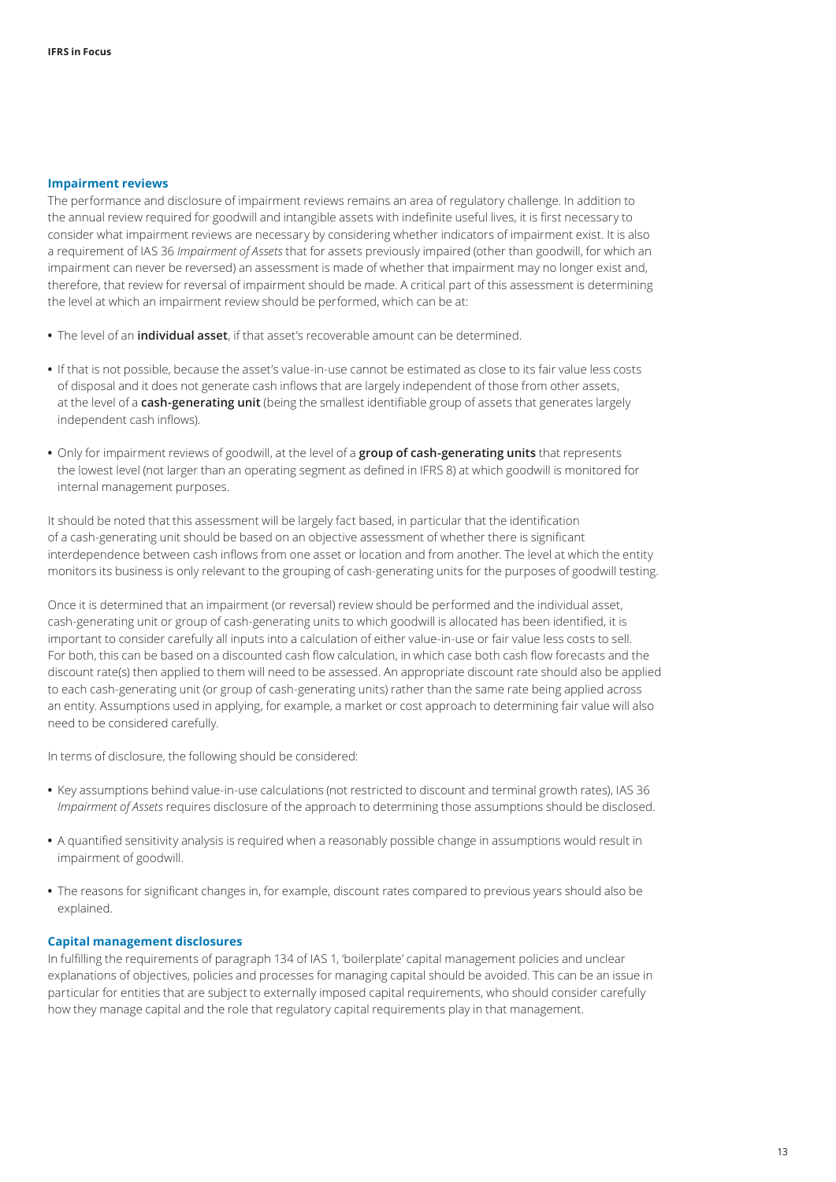#### <span id="page-12-0"></span>**Impairment reviews**

The performance and disclosure of impairment reviews remains an area of regulatory challenge. In addition to the annual review required for goodwill and intangible assets with indefinite useful lives, it is first necessary to consider what impairment reviews are necessary by considering whether indicators of impairment exist. It is also a requirement of IAS 36 *Impairment of Assets* that for assets previously impaired (other than goodwill, for which an impairment can never be reversed) an assessment is made of whether that impairment may no longer exist and, therefore, that review for reversal of impairment should be made. A critical part of this assessment is determining the level at which an impairment review should be performed, which can be at:

- **•** The level of an **individual asset**, if that asset's recoverable amount can be determined.
- **•** If that is not possible, because the asset's value‑in‑use cannot be estimated as close to its fair value less costs of disposal and it does not generate cash inflows that are largely independent of those from other assets, at the level of a **cash‑generating unit** (being the smallest identifiable group of assets that generates largely independent cash inflows).
- Only for impairment reviews of goodwill, at the level of a **group of cash-generating units** that represents the lowest level (not larger than an operating segment as defined in IFRS 8) at which goodwill is monitored for internal management purposes.

It should be noted that this assessment will be largely fact based, in particular that the identification of a cash‑generating unit should be based on an objective assessment of whether there is significant interdependence between cash inflows from one asset or location and from another. The level at which the entity monitors its business is only relevant to the grouping of cash-generating units for the purposes of goodwill testing.

Once it is determined that an impairment (or reversal) review should be performed and the individual asset, cash-generating unit or group of cash-generating units to which goodwill is allocated has been identified, it is important to consider carefully all inputs into a calculation of either value-in-use or fair value less costs to sell. For both, this can be based on a discounted cash flow calculation, in which case both cash flow forecasts and the discount rate(s) then applied to them will need to be assessed. An appropriate discount rate should also be applied to each cash‑generating unit (or group of cash‑generating units) rather than the same rate being applied across an entity. Assumptions used in applying, for example, a market or cost approach to determining fair value will also need to be considered carefully.

In terms of disclosure, the following should be considered:

- **•** Key assumptions behind value‑in‑use calculations (not restricted to discount and terminal growth rates), IAS 36 *Impairment of Assets* requires disclosure of the approach to determining those assumptions should be disclosed.
- **•** A quantified sensitivity analysis is required when a reasonably possible change in assumptions would result in impairment of goodwill.
- **•** The reasons for significant changes in, for example, discount rates compared to previous years should also be explained.

#### <span id="page-12-1"></span>**Capital management disclosures**

In fulfilling the requirements of paragraph 134 of IAS 1, 'boilerplate' capital management policies and unclear explanations of objectives, policies and processes for managing capital should be avoided. This can be an issue in particular for entities that are subject to externally imposed capital requirements, who should consider carefully how they manage capital and the role that regulatory capital requirements play in that management.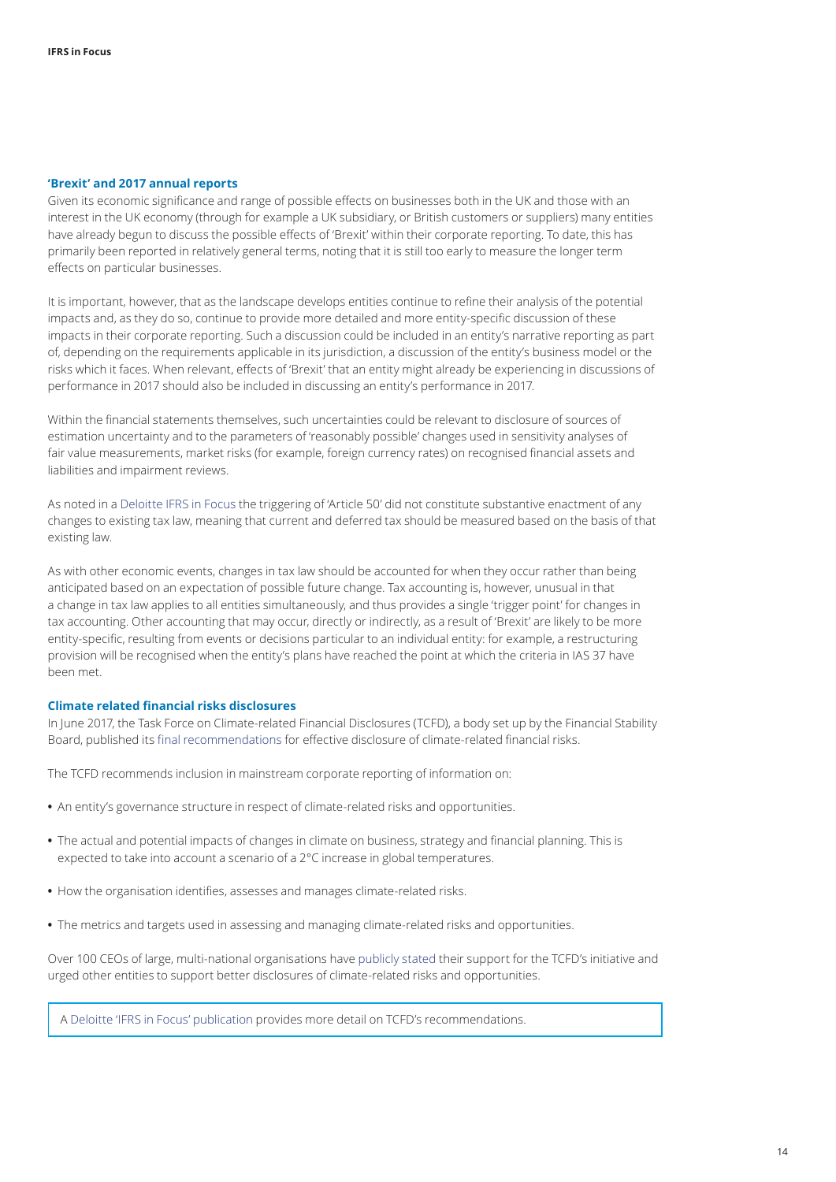#### <span id="page-13-0"></span>**'Brexit' and 2017 annual reports**

Given its economic significance and range of possible effects on businesses both in the UK and those with an interest in the UK economy (through for example a UK subsidiary, or British customers or suppliers) many entities have already begun to discuss the possible effects of 'Brexit' within their corporate reporting. To date, this has primarily been reported in relatively general terms, noting that it is still too early to measure the longer term effects on particular businesses.

It is important, however, that as the landscape develops entities continue to refine their analysis of the potential impacts and, as they do so, continue to provide more detailed and more entity-specific discussion of these impacts in their corporate reporting. Such a discussion could be included in an entity's narrative reporting as part of, depending on the requirements applicable in its jurisdiction, a discussion of the entity's business model or the risks which it faces. When relevant, effects of 'Brexit' that an entity might already be experiencing in discussions of performance in 2017 should also be included in discussing an entity's performance in 2017.

Within the financial statements themselves, such uncertainties could be relevant to disclosure of sources of estimation uncertainty and to the parameters of 'reasonably possible' changes used in sensitivity analyses of fair value measurements, market risks (for example, foreign currency rates) on recognised financial assets and liabilities and impairment reviews.

As noted in a [Deloitte IFRS in Focus](https://www.iasplus.com/en/publications/global/ifrs-in-focus/2017/uk-exit-eu) the triggering of 'Article 50' did not constitute substantive enactment of any changes to existing tax law, meaning that current and deferred tax should be measured based on the basis of that existing law.

As with other economic events, changes in tax law should be accounted for when they occur rather than being anticipated based on an expectation of possible future change. Tax accounting is, however, unusual in that a change in tax law applies to all entities simultaneously, and thus provides a single 'trigger point' for changes in tax accounting. Other accounting that may occur, directly or indirectly, as a result of 'Brexit' are likely to be more entity-specific, resulting from events or decisions particular to an individual entity: for example, a restructuring provision will be recognised when the entity's plans have reached the point at which the criteria in IAS 37 have been met.

#### <span id="page-13-1"></span>**Climate related financial risks disclosures**

In June 2017, the Task Force on Climate-related Financial Disclosures (TCFD), a body set up by the Financial Stability Board, published its [final recommendations](http://www.fsb.org/wp-content/uploads/P290617-5.pdf) for effective disclosure of climate-related financial risks.

The TCFD recommends inclusion in mainstream corporate reporting of information on:

- An entity's governance structure in respect of climate-related risks and opportunities.
- **•** The actual and potential impacts of changes in climate on business, strategy and financial planning. This is expected to take into account a scenario of a 2°C increase in global temperatures.
- How the organisation identifies, assesses and manages climate-related risks.
- The metrics and targets used in assessing and managing climate-related risks and opportunities.

Over 100 CEOs of large, multi-national organisations have [publicly stated](https://www.fsb-tcfd.org/statement-support-supporting-companies-june-2017/) their support for the TCFD's initiative and urged other entities to support better disclosures of climate‑related risks and opportunities.

A [Deloitte 'IFRS in Focus' publication](https://www.iasplus.com/en/publications/global/ifrs-in-focus/2017/tcfd-final-report) provides more detail on TCFD's recommendations.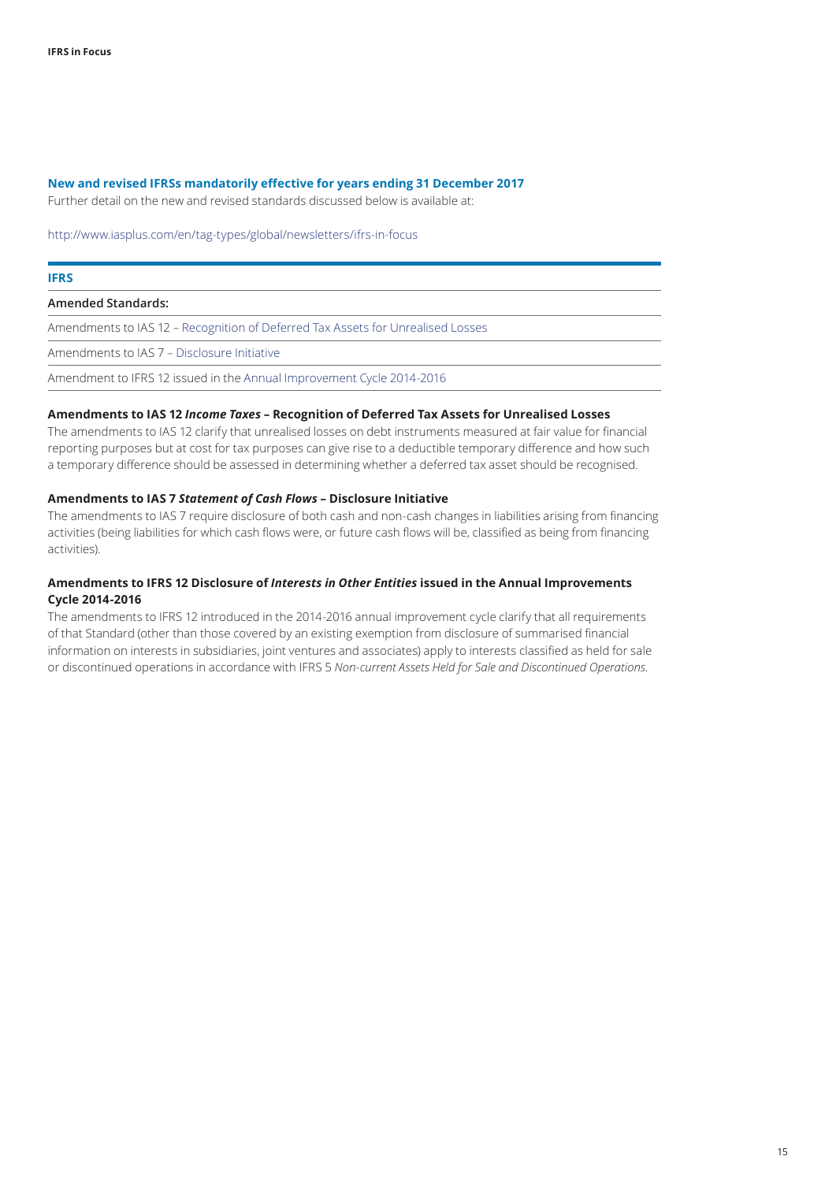#### **New and revised IFRSs mandatorily effective for years ending 31 December 2017**

Further detail on the new and revised standards discussed below is available at:

http://www.iasplus.com/en/tag-types/global/newsletters/ifrs-in-focus

## **IFRS Amended Standards:**

Amendments to IAS 12 – [Recognition of Deferred Tax Assets for Unrealised Losses](https://www.iasplus.com/en/publications/global/ifrs-in-focus/2016/ias-12-amendments)

Amendments to IAS 7 – [Disclosure Initiative](https://www.iasplus.com/en/publications/global/ifrs-in-focus/2016/ias-7-amendments)

Amendment to IFRS 12 issued in the [Annual Improvement Cycle 2014‑2016](https://www.iasplus.com/en/publications/global/ifrs-in-focus/2016/interpretation-amendments)

#### **Amendments to IAS 12** *Income Taxes* **– Recognition of Deferred Tax Assets for Unrealised Losses**

The amendments to IAS 12 clarify that unrealised losses on debt instruments measured at fair value for financial reporting purposes but at cost for tax purposes can give rise to a deductible temporary difference and how such a temporary difference should be assessed in determining whether a deferred tax asset should be recognised.

#### **Amendments to IAS 7** *Statement of Cash Flows* **– Disclosure Initiative**

The amendments to IAS 7 require disclosure of both cash and non-cash changes in liabilities arising from financing activities (being liabilities for which cash flows were, or future cash flows will be, classified as being from financing activities).

#### **Amendments to IFRS 12 Disclosure of** *Interests in Other Entities* **issued in the Annual Improvements Cycle 2014‑2016**

The amendments to IFRS 12 introduced in the 2014‑2016 annual improvement cycle clarify that all requirements of that Standard (other than those covered by an existing exemption from disclosure of summarised financial information on interests in subsidiaries, joint ventures and associates) apply to interests classified as held for sale or discontinued operations in accordance with IFRS 5 *Non‑current Assets Held for Sale and Discontinued Operations*.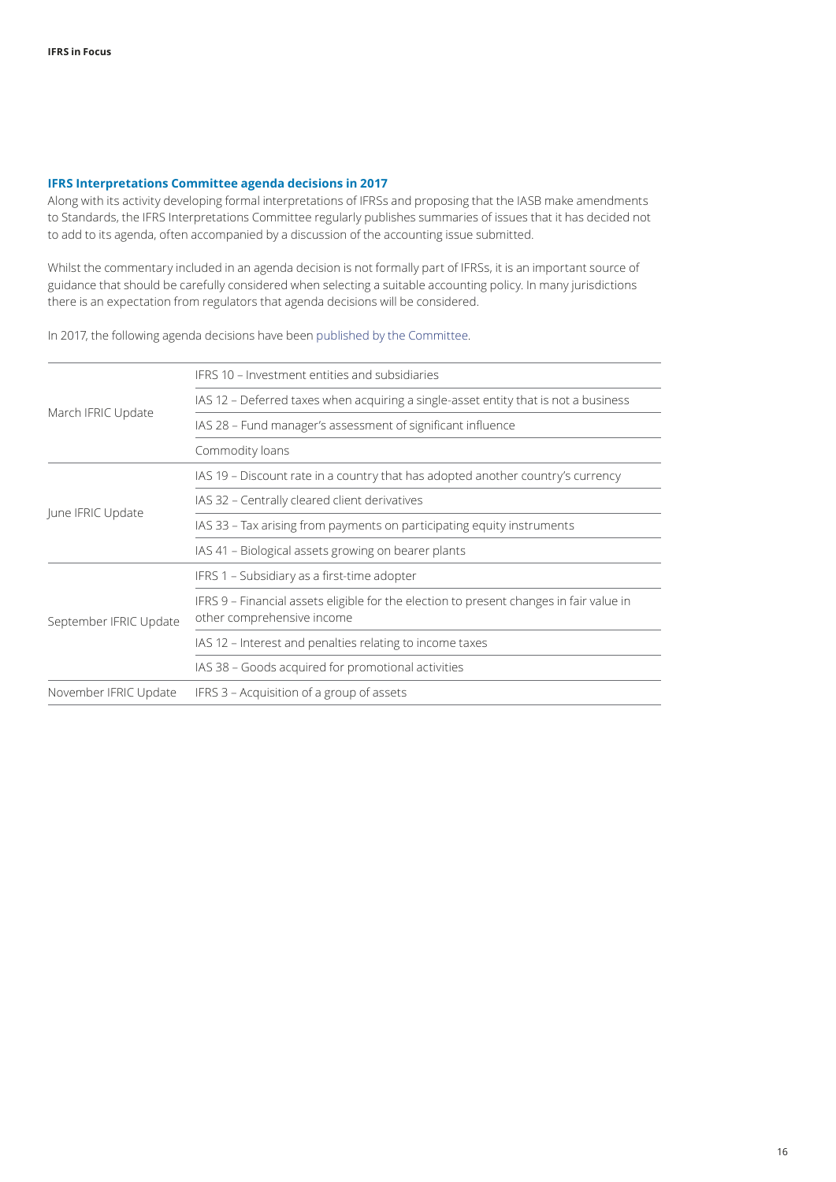#### <span id="page-15-0"></span>**IFRS Interpretations Committee agenda decisions in 2017**

Along with its activity developing formal interpretations of IFRSs and proposing that the IASB make amendments to Standards, the IFRS Interpretations Committee regularly publishes summaries of issues that it has decided not to add to its agenda, often accompanied by a discussion of the accounting issue submitted.

Whilst the commentary included in an agenda decision is not formally part of IFRSs, it is an important source of guidance that should be carefully considered when selecting a suitable accounting policy. In many jurisdictions there is an expectation from regulators that agenda decisions will be considered.

In 2017, the following agenda decisions have been published by the Committee.

|                        | IFRS 10 – Investment entities and subsidiaries                                                                        |  |  |
|------------------------|-----------------------------------------------------------------------------------------------------------------------|--|--|
| March IFRIC Update     | IAS 12 - Deferred taxes when acquiring a single-asset entity that is not a business                                   |  |  |
|                        | IAS 28 - Fund manager's assessment of significant influence                                                           |  |  |
|                        | Commodity loans                                                                                                       |  |  |
| June IFRIC Update      | IAS 19 - Discount rate in a country that has adopted another country's currency                                       |  |  |
|                        | IAS 32 - Centrally cleared client derivatives                                                                         |  |  |
|                        | IAS 33 – Tax arising from payments on participating equity instruments                                                |  |  |
|                        | IAS 41 - Biological assets growing on bearer plants                                                                   |  |  |
| September IFRIC Update | IFRS 1 - Subsidiary as a first-time adopter                                                                           |  |  |
|                        | IFRS 9 - Financial assets eligible for the election to present changes in fair value in<br>other comprehensive income |  |  |
|                        | IAS 12 - Interest and penalties relating to income taxes                                                              |  |  |
|                        | IAS 38 - Goods acquired for promotional activities                                                                    |  |  |
| November IFRIC Update  | IFRS 3 – Acquisition of a group of assets                                                                             |  |  |
|                        |                                                                                                                       |  |  |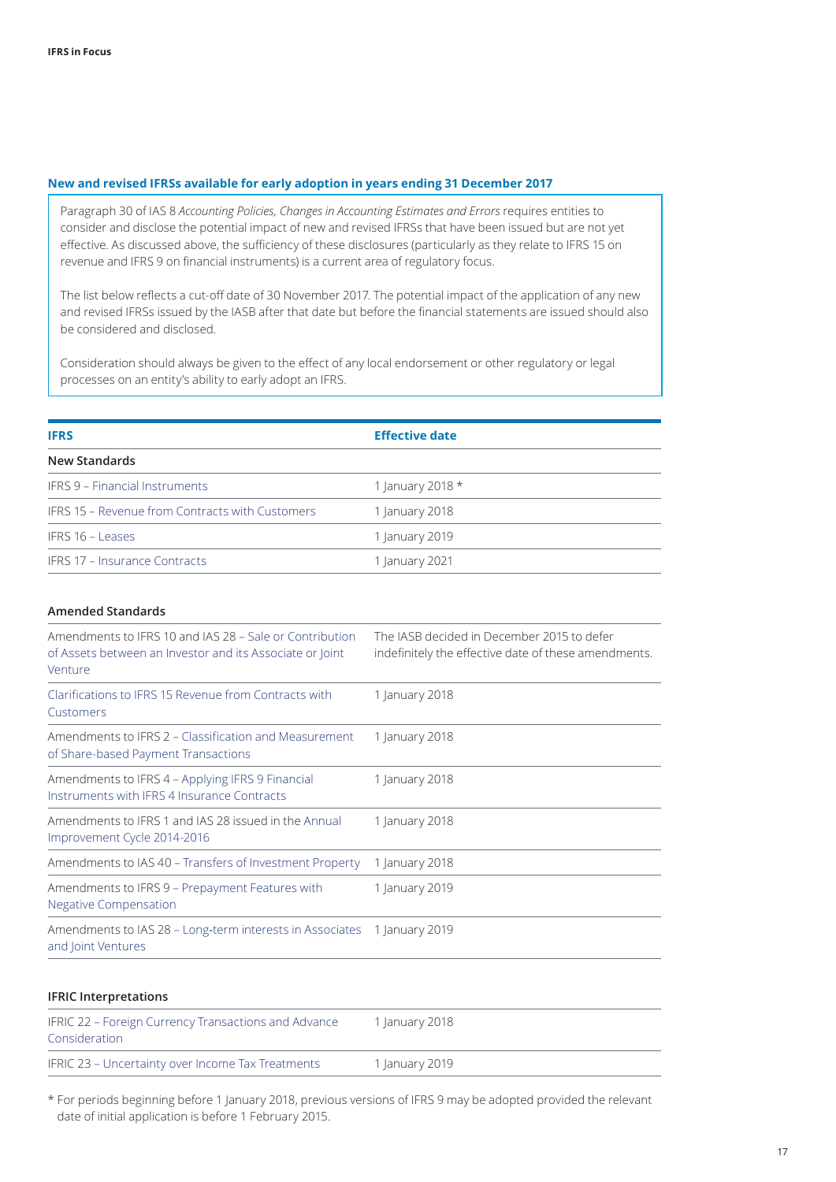#### **New and revised IFRSs available for early adoption in years ending 31 December 2017**

Paragraph 30 of IAS 8 *Accounting Policies, Changes in Accounting Estimates and Errors* requires entities to consider and disclose the potential impact of new and revised IFRSs that have been issued but are not yet effective. As discussed above, the sufficiency of these disclosures (particularly as they relate to IFRS 15 on revenue and IFRS 9 on financial instruments) is a current area of regulatory focus.

The list below reflects a cut-off date of 30 November 2017. The potential impact of the application of any new and revised IFRSs issued by the IASB after that date but before the financial statements are issued should also be considered and disclosed.

Consideration should always be given to the effect of any local endorsement or other regulatory or legal processes on an entity's ability to early adopt an IFRS.

| <b>IFRS</b>                                     | <b>Effective date</b> |  |
|-------------------------------------------------|-----------------------|--|
| New Standards                                   |                       |  |
| <b>IFRS 9 - Financial Instruments</b>           | 1 January 2018 $*$    |  |
| IFRS 15 – Revenue from Contracts with Customers | 1 January 2018        |  |
| IFRS 16 - Leases                                | 1 January 2019        |  |
| <b>IFRS 17 - Insurance Contracts</b>            | 1 January 2021        |  |

#### **Amended Standards**

| Amendments to IFRS 10 and IAS 28 – Sale or Contribution<br>of Assets between an Investor and its Associate or Joint<br>Venture | The JASB decided in December 2015 to defer<br>indefinitely the effective date of these amendments. |
|--------------------------------------------------------------------------------------------------------------------------------|----------------------------------------------------------------------------------------------------|
| Clarifications to IFRS 15 Revenue from Contracts with<br>Customers                                                             | 1 January 2018                                                                                     |
| Amendments to IFRS 2 – Classification and Measurement<br>of Share-based Payment Transactions                                   | 1 January 2018                                                                                     |
| Amendments to IFRS 4 – Applying IFRS 9 Financial<br>Instruments with IFRS 4 Insurance Contracts                                | 1 January 2018                                                                                     |
| Amendments to IFRS 1 and IAS 28 issued in the Annual<br>Improvement Cycle 2014-2016                                            | 1 January 2018                                                                                     |
| Amendments to IAS 40 – Transfers of Investment Property                                                                        | 1 January 2018                                                                                     |
| Amendments to IFRS 9 – Prepayment Features with<br><b>Negative Compensation</b>                                                | 1 January 2019                                                                                     |
| Amendments to IAS 28 - Long-term interests in Associates<br>and Joint Ventures                                                 | 1 January 2019                                                                                     |

#### **IFRIC Interpretations**

| IFRIC 22 – Foreign Currency Transactions and Advance<br>Consideration | 1 January 2018 |
|-----------------------------------------------------------------------|----------------|
| IFRIC 23 - Uncertainty over Income Tax Treatments                     | 1 January 2019 |

\* For periods beginning before 1 January 2018, previous versions of IFRS 9 may be adopted provided the relevant date of initial application is before 1 February 2015.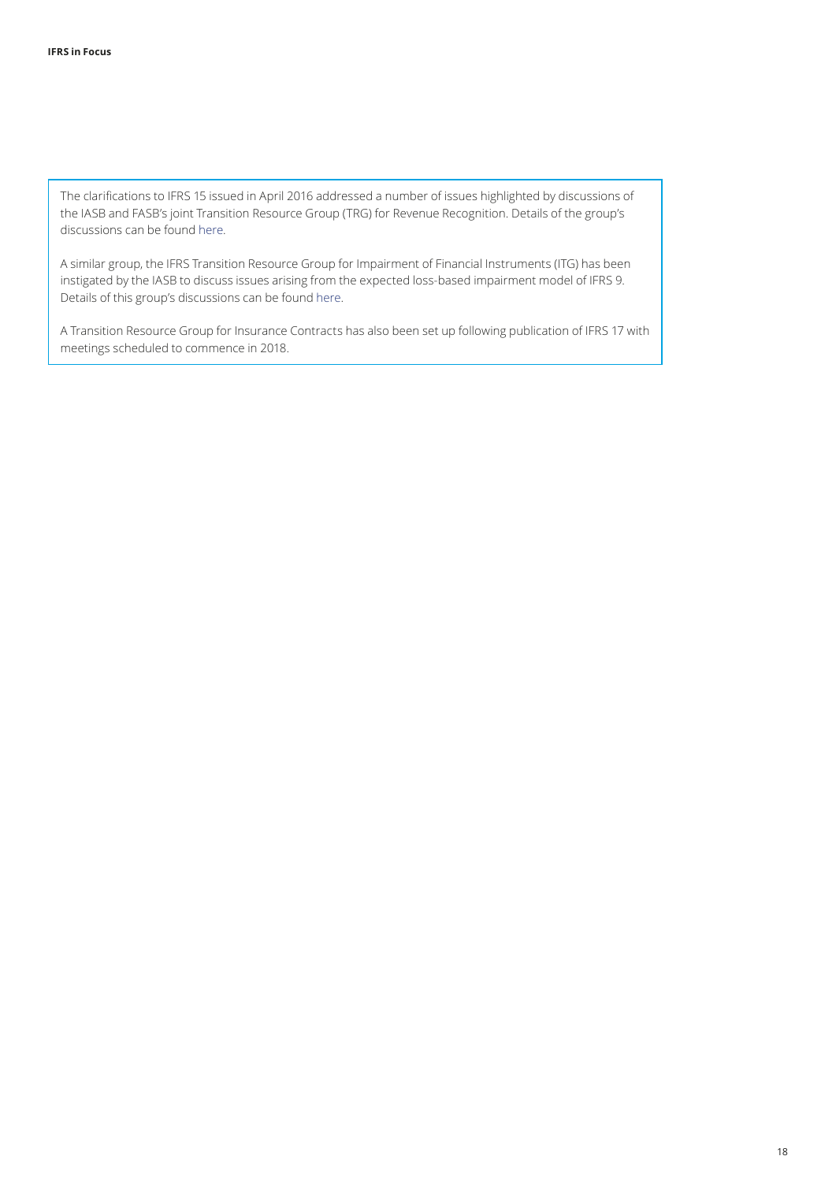The clarifications to IFRS 15 issued in April 2016 addressed a number of issues highlighted by discussions of the IASB and FASB's joint Transition Resource Group (TRG) for Revenue Recognition. Details of the group's discussions can be found [here.](https://www.iasplus.com/en/resources/ifrsf/advisory/trg)

A similar group, the IFRS Transition Resource Group for Impairment of Financial Instruments (ITG) has been instigated by the IASB to discuss issues arising from the expected loss-based impairment model of IFRS 9. Details of this group's discussions can be found [here.](https://www.iasplus.com/en/resources/ifrsf/advisory/itg)

A Transition Resource Group for Insurance Contracts has also been set up following publication of IFRS 17 with meetings scheduled to commence in 2018.